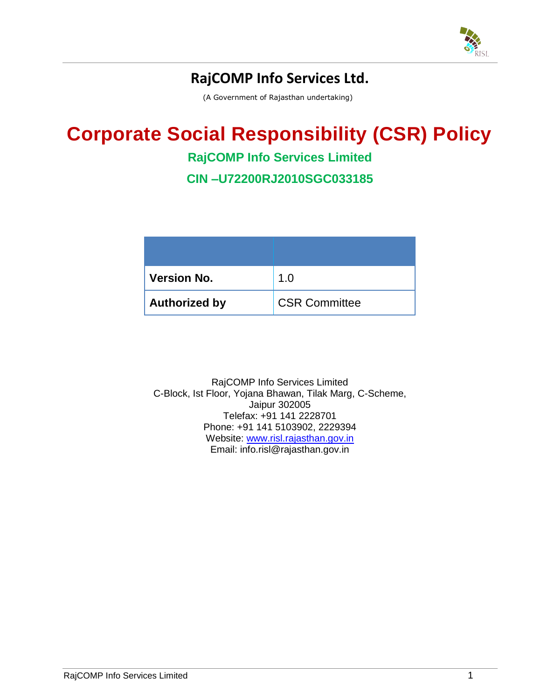

# **RajCOMP Info Services Ltd.**

(A Government of Rajasthan undertaking)

# **Corporate Social Responsibility (CSR) Policy**

## **RajCOMP Info Services Limited**

**CIN –U72200RJ2010SGC033185**

| <b>Version No.</b>   | 1.0                  |
|----------------------|----------------------|
| <b>Authorized by</b> | <b>CSR Committee</b> |

RajCOMP Info Services Limited C-Block, Ist Floor, Yojana Bhawan, Tilak Marg, C-Scheme, Jaipur 302005 Telefax: +91 141 2228701 Phone: +91 141 5103902, 2229394 Website: [www.risl.rajasthan.gov.in](http://www.risl.rajasthan.gov.in/) Email: info.risl@rajasthan.gov.in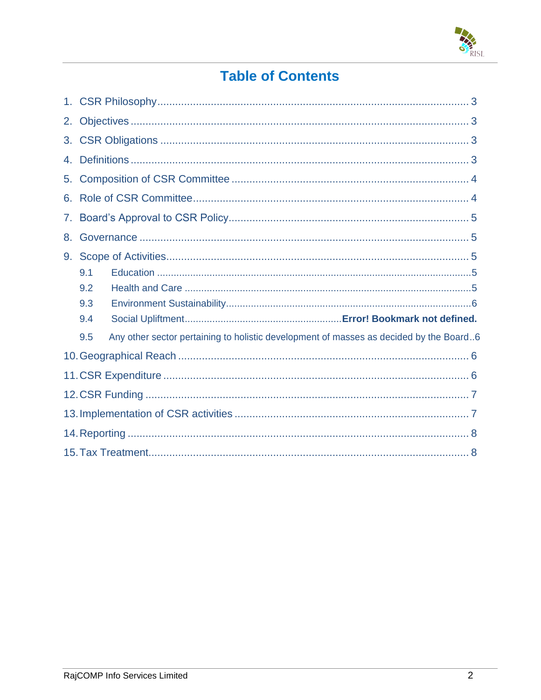

# **Table of Contents**

| 2. |     |                                                                                        |  |
|----|-----|----------------------------------------------------------------------------------------|--|
| 3. |     |                                                                                        |  |
| 4. |     |                                                                                        |  |
| 5. |     |                                                                                        |  |
| 6. |     |                                                                                        |  |
| 7. |     |                                                                                        |  |
| 8. |     |                                                                                        |  |
| 9. |     |                                                                                        |  |
|    | 9.1 |                                                                                        |  |
|    | 9.2 |                                                                                        |  |
|    | 9.3 |                                                                                        |  |
|    | 9.4 |                                                                                        |  |
|    | 9.5 | Any other sector pertaining to holistic development of masses as decided by the Board6 |  |
|    |     |                                                                                        |  |
|    |     |                                                                                        |  |
|    |     |                                                                                        |  |
|    |     |                                                                                        |  |
|    |     |                                                                                        |  |
|    |     |                                                                                        |  |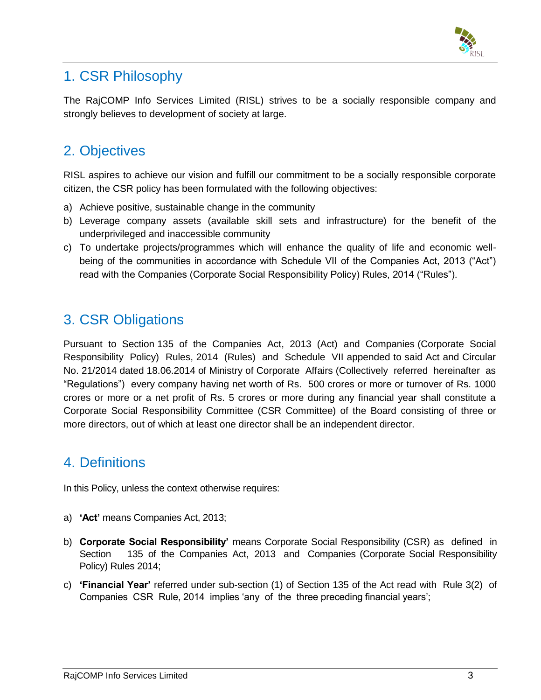

## <span id="page-2-0"></span>1. CSR Philosophy

The RajCOMP Info Services Limited (RISL) strives to be a socially responsible company and strongly believes to development of society at large.

# <span id="page-2-1"></span>2. Objectives

RISL aspires to achieve our vision and fulfill our commitment to be a socially responsible corporate citizen, the CSR policy has been formulated with the following objectives:

- a) Achieve positive, sustainable change in the community
- b) Leverage company assets (available skill sets and infrastructure) for the benefit of the underprivileged and inaccessible community
- c) To undertake projects/programmes which will enhance the quality of life and economic wellbeing of the communities in accordance with Schedule VII of the Companies Act, 2013 ("Act") read with the Companies (Corporate Social Responsibility Policy) Rules, 2014 ("Rules").

# <span id="page-2-2"></span>3. CSR Obligations

Pursuant to Section 135 of the Companies Act, 2013 (Act) and Companies (Corporate Social Responsibility Policy) Rules, 2014 (Rules) and Schedule VII appended to said Act and Circular No. 21/2014 dated 18.06.2014 of Ministry of Corporate Affairs (Collectively referred hereinafter as "Regulations") every company having net worth of Rs. 500 crores or more or turnover of Rs. 1000 crores or more or a net profit of Rs. 5 crores or more during any financial year shall constitute a Corporate Social Responsibility Committee (CSR Committee) of the Board consisting of three or more directors, out of which at least one director shall be an independent director.

## <span id="page-2-3"></span>4. Definitions

In this Policy, unless the context otherwise requires:

- a) **'Act'** means Companies Act, 2013;
- b) **Corporate Social Responsibility'** means Corporate Social Responsibility (CSR) as defined in Section 135 of the Companies Act, 2013 and Companies (Corporate Social Responsibility Policy) Rules 2014;
- c) **'Financial Year'** referred under sub-section (1) of Section 135 of the Act read with Rule 3(2) of Companies CSR Rule, 2014 implies 'any of the three preceding financial years';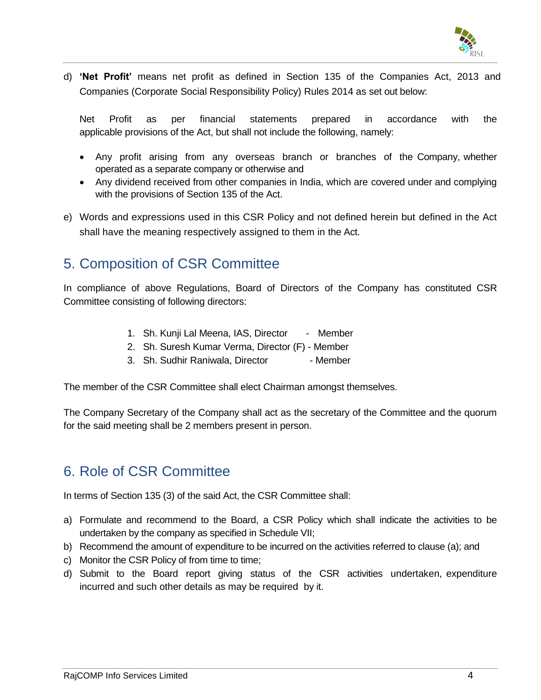

d) **'Net Profit'** means net profit as defined in Section 135 of the Companies Act, 2013 and Companies (Corporate Social Responsibility Policy) Rules 2014 as set out below:

Net Profit as per financial statements prepared in accordance with the applicable provisions of the Act, but shall not include the following, namely:

- Any profit arising from any overseas branch or branches of the Company, whether operated as a separate company or otherwise and
- Any dividend received from other companies in India, which are covered under and complying with the provisions of Section 135 of the Act.
- e) Words and expressions used in this CSR Policy and not defined herein but defined in the Act shall have the meaning respectively assigned to them in the Act.

# <span id="page-3-0"></span>5. Composition of CSR Committee

In compliance of above Regulations, Board of Directors of the Company has constituted CSR Committee consisting of following directors:

- 1. Sh. Kunji Lal Meena, IAS, Director Member
- 2. Sh. Suresh Kumar Verma, Director (F) Member
- 3. Sh. Sudhir Raniwala, Director Member

The member of the CSR Committee shall elect Chairman amongst themselves.

The Company Secretary of the Company shall act as the secretary of the Committee and the quorum for the said meeting shall be 2 members present in person.

## <span id="page-3-1"></span>6. Role of CSR Committee

In terms of Section 135 (3) of the said Act, the CSR Committee shall:

- a) Formulate and recommend to the Board, a CSR Policy which shall indicate the activities to be undertaken by the company as specified in Schedule VII;
- b) Recommend the amount of expenditure to be incurred on the activities referred to clause (a); and
- c) Monitor the CSR Policy of from time to time;
- d) Submit to the Board report giving status of the CSR activities undertaken, expenditure incurred and such other details as may be required by it.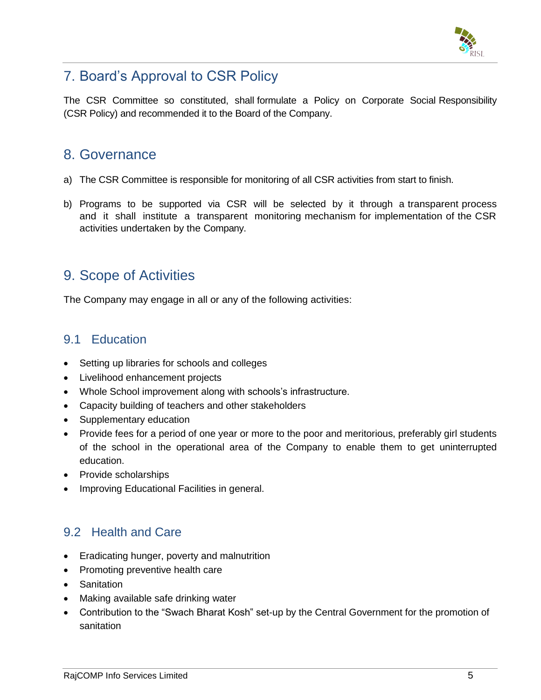

# <span id="page-4-0"></span>7. Board"s Approval to CSR Policy

The CSR Committee so constituted, shall formulate a Policy on Corporate Social Responsibility (CSR Policy) and recommended it to the Board of the Company.

#### <span id="page-4-1"></span>8. Governance

- a) The CSR Committee is responsible for monitoring of all CSR activities from start to finish.
- b) Programs to be supported via CSR will be selected by it through a transparent process and it shall institute a transparent monitoring mechanism for implementation of the CSR activities undertaken by the Company.

### <span id="page-4-2"></span>9. Scope of Activities

The Company may engage in all or any of the following activities:

#### <span id="page-4-3"></span>9.1 Education

- Setting up libraries for schools and colleges
- Livelihood enhancement projects
- Whole School improvement along with schools's infrastructure.
- Capacity building of teachers and other stakeholders
- Supplementary education
- Provide fees for a period of one year or more to the poor and meritorious, preferably girl students of the school in the operational area of the Company to enable them to get uninterrupted education.
- Provide scholarships
- Improving Educational Facilities in general.

#### <span id="page-4-4"></span>9.2 Health and Care

- Eradicating hunger, poverty and malnutrition
- Promoting preventive health care
- Sanitation
- Making available safe drinking water
- Contribution to the "Swach Bharat Kosh" set-up by the Central Government for the promotion of sanitation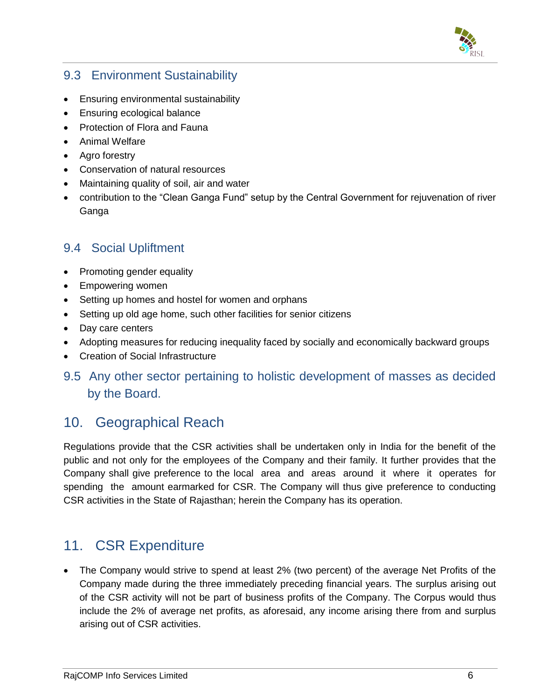

#### <span id="page-5-0"></span>9.3 Environment Sustainability

- Ensuring environmental sustainability
- Ensuring ecological balance
- Protection of Flora and Fauna
- Animal Welfare
- Agro forestry
- Conservation of natural resources
- Maintaining quality of soil, air and water
- contribution to the "Clean Ganga Fund" setup by the Central Government for rejuvenation of river Ganga

#### 9.4 Social Upliftment

- Promoting gender equality
- Empowering women
- Setting up homes and hostel for women and orphans
- Setting up old age home, such other facilities for senior citizens
- Day care centers
- Adopting measures for reducing inequality faced by socially and economically backward groups
- Creation of Social Infrastructure
- 9.5 Any other sector pertaining to holistic development of masses as decided by the Board.

## <span id="page-5-1"></span>10. Geographical Reach

Regulations provide that the CSR activities shall be undertaken only in India for the benefit of the public and not only for the employees of the Company and their family. It further provides that the Company shall give preference to the local area and areas around it where it operates for spending the amount earmarked for CSR. The Company will thus give preference to conducting CSR activities in the State of Rajasthan; herein the Company has its operation.

# <span id="page-5-2"></span>11. CSR Expenditure

 The Company would strive to spend at least 2% (two percent) of the average Net Profits of the Company made during the three immediately preceding financial years. The surplus arising out of the CSR activity will not be part of business profits of the Company. The Corpus would thus include the 2% of average net profits, as aforesaid, any income arising there from and surplus arising out of CSR activities.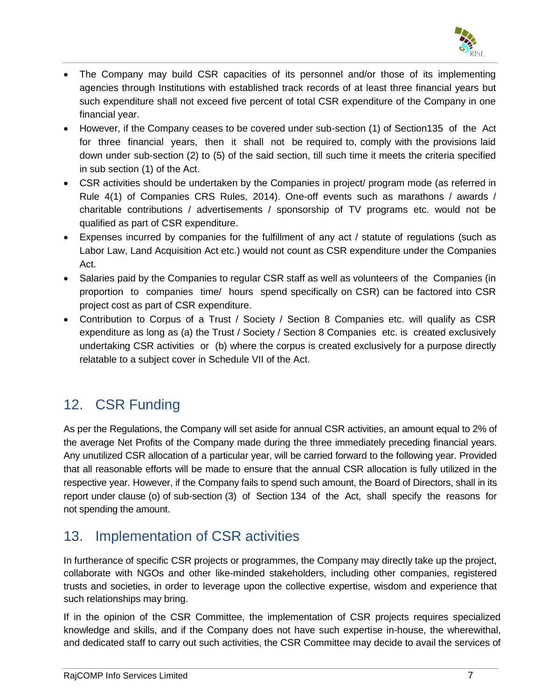

- The Company may build CSR capacities of its personnel and/or those of its implementing agencies through Institutions with established track records of at least three financial years but such expenditure shall not exceed five percent of total CSR expenditure of the Company in one financial year.
- However, if the Company ceases to be covered under sub-section (1) of Section135 of the Act for three financial years, then it shall not be required to, comply with the provisions laid down under sub-section (2) to (5) of the said section, till such time it meets the criteria specified in sub section (1) of the Act.
- CSR activities should be undertaken by the Companies in project/ program mode (as referred in Rule 4(1) of Companies CRS Rules, 2014). One-off events such as marathons / awards / charitable contributions / advertisements / sponsorship of TV programs etc. would not be qualified as part of CSR expenditure.
- Expenses incurred by companies for the fulfillment of any act / statute of regulations (such as Labor Law, Land Acquisition Act etc.) would not count as CSR expenditure under the Companies Act.
- Salaries paid by the Companies to regular CSR staff as well as volunteers of the Companies (in proportion to companies time/ hours spend specifically on CSR) can be factored into CSR project cost as part of CSR expenditure.
- Contribution to Corpus of a Trust / Society / Section 8 Companies etc. will qualify as CSR expenditure as long as (a) the Trust / Society / Section 8 Companies etc. is created exclusively undertaking CSR activities or (b) where the corpus is created exclusively for a purpose directly relatable to a subject cover in Schedule VII of the Act.

# <span id="page-6-0"></span>12. CSR Funding

As per the Regulations, the Company will set aside for annual CSR activities, an amount equal to 2% of the average Net Profits of the Company made during the three immediately preceding financial years. Any unutilized CSR allocation of a particular year, will be carried forward to the following year. Provided that all reasonable efforts will be made to ensure that the annual CSR allocation is fully utilized in the respective year. However, if the Company fails to spend such amount, the Board of Directors, shall in its report under clause (o) of sub-section (3) of Section 134 of the Act, shall specify the reasons for not spending the amount.

# <span id="page-6-1"></span>13. Implementation of CSR activities

In furtherance of specific CSR projects or programmes, the Company may directly take up the project, collaborate with NGOs and other like-minded stakeholders, including other companies, registered trusts and societies, in order to leverage upon the collective expertise, wisdom and experience that such relationships may bring.

If in the opinion of the CSR Committee, the implementation of CSR projects requires specialized knowledge and skills, and if the Company does not have such expertise in-house, the wherewithal, and dedicated staff to carry out such activities, the CSR Committee may decide to avail the services of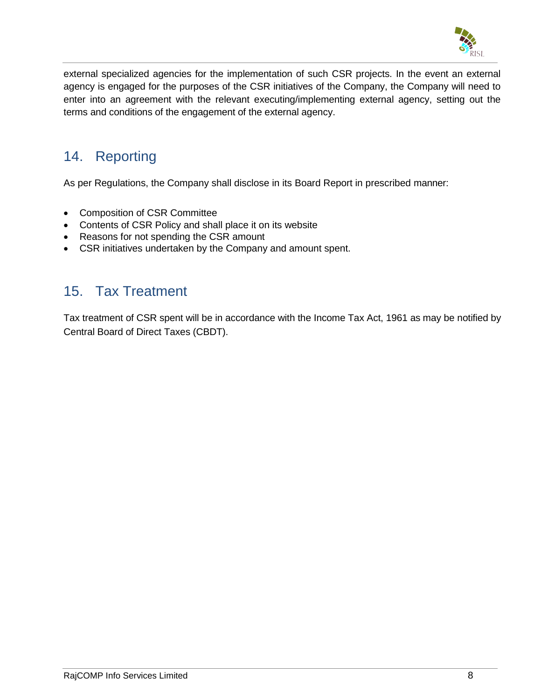

external specialized agencies for the implementation of such CSR projects. In the event an external agency is engaged for the purposes of the CSR initiatives of the Company, the Company will need to enter into an agreement with the relevant executing/implementing external agency, setting out the terms and conditions of the engagement of the external agency.

### <span id="page-7-0"></span>14. Reporting

As per Regulations, the Company shall disclose in its Board Report in prescribed manner:

- Composition of CSR Committee
- Contents of CSR Policy and shall place it on its website
- Reasons for not spending the CSR amount
- CSR initiatives undertaken by the Company and amount spent.

#### <span id="page-7-1"></span>15. Tax Treatment

Tax treatment of CSR spent will be in accordance with the Income Tax Act, 1961 as may be notified by Central Board of Direct Taxes (CBDT).